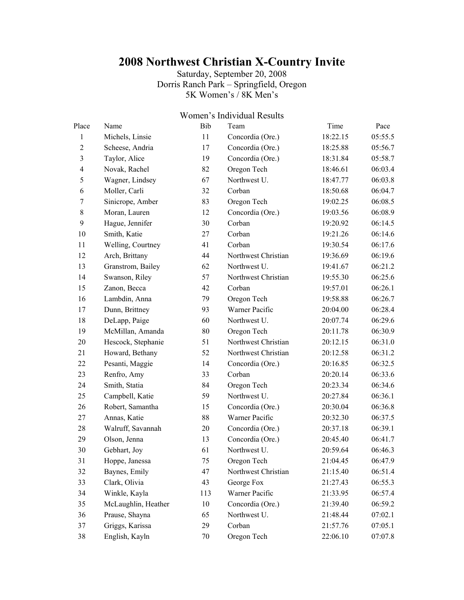## **2008 Northwest Christian X-Country Invite**

Saturday, September 20, 2008 Dorris Ranch Park – Springfield, Oregon 5K Women's / 8K Men's

## Women's Individual Results

| Place                   | Name                | Bib | Team                | Time     | Pace    |
|-------------------------|---------------------|-----|---------------------|----------|---------|
| 1                       | Michels, Linsie     | 11  | Concordia (Ore.)    | 18:22.15 | 05:55.5 |
| $\overline{2}$          | Scheese, Andria     | 17  | Concordia (Ore.)    | 18:25.88 | 05:56.7 |
| 3                       | Taylor, Alice       | 19  | Concordia (Ore.)    | 18:31.84 | 05:58.7 |
| $\overline{\mathbf{4}}$ | Novak, Rachel       | 82  | Oregon Tech         | 18:46.61 | 06:03.4 |
| 5                       | Wagner, Lindsey     | 67  | Northwest U.        | 18:47.77 | 06:03.8 |
| 6                       | Moller, Carli       | 32  | Corban              | 18:50.68 | 06:04.7 |
| 7                       | Sinicrope, Amber    | 83  | Oregon Tech         | 19:02.25 | 06:08.5 |
| $\,8\,$                 | Moran, Lauren       | 12  | Concordia (Ore.)    | 19:03.56 | 06:08.9 |
| 9                       | Hague, Jennifer     | 30  | Corban              | 19:20.92 | 06:14.5 |
| 10                      | Smith, Katie        | 27  | Corban              | 19:21.26 | 06:14.6 |
| 11                      | Welling, Courtney   | 41  | Corban              | 19:30.54 | 06:17.6 |
| 12                      | Arch, Brittany      | 44  | Northwest Christian | 19:36.69 | 06:19.6 |
| 13                      | Granstrom, Bailey   | 62  | Northwest U.        | 19:41.67 | 06:21.2 |
| 14                      | Swanson, Riley      | 57  | Northwest Christian | 19:55.30 | 06:25.6 |
| 15                      | Zanon, Becca        | 42  | Corban              | 19:57.01 | 06:26.1 |
| 16                      | Lambdin, Anna       | 79  | Oregon Tech         | 19:58.88 | 06:26.7 |
| 17                      | Dunn, Brittney      | 93  | Warner Pacific      | 20:04.00 | 06:28.4 |
| 18                      | DeLapp, Paige       | 60  | Northwest U.        | 20:07.74 | 06:29.6 |
| 19                      | McMillan, Amanda    | 80  | Oregon Tech         | 20:11.78 | 06:30.9 |
| 20                      | Hescock, Stephanie  | 51  | Northwest Christian | 20:12.15 | 06:31.0 |
| 21                      | Howard, Bethany     | 52  | Northwest Christian | 20:12.58 | 06:31.2 |
| 22                      | Pesanti, Maggie     | 14  | Concordia (Ore.)    | 20:16.85 | 06:32.5 |
| 23                      | Renfro, Amy         | 33  | Corban              | 20:20.14 | 06:33.6 |
| 24                      | Smith, Statia       | 84  | Oregon Tech         | 20:23.34 | 06:34.6 |
| 25                      | Campbell, Katie     | 59  | Northwest U.        | 20:27.84 | 06:36.1 |
| 26                      | Robert, Samantha    | 15  | Concordia (Ore.)    | 20:30.04 | 06:36.8 |
| 27                      | Annas, Katie        | 88  | Warner Pacific      | 20:32.30 | 06:37.5 |
| 28                      | Walruff, Savannah   | 20  | Concordia (Ore.)    | 20:37.18 | 06:39.1 |
| 29                      | Olson, Jenna        | 13  | Concordia (Ore.)    | 20:45.40 | 06:41.7 |
| 30                      | Gebhart, Joy        | 61  | Northwest U.        | 20:59.64 | 06:46.3 |
| 31                      | Hoppe, Janessa      | 75  | Oregon Tech         | 21:04.45 | 06:47.9 |
| 32                      | Baynes, Emily       | 47  | Northwest Christian | 21:15.40 | 06:51.4 |
| 33                      | Clark, Olivia       | 43  | George Fox          | 21:27.43 | 06:55.3 |
| 34                      | Winkle, Kayla       | 113 | Warner Pacific      | 21:33.95 | 06:57.4 |
| 35                      | McLaughlin, Heather | 10  | Concordia (Ore.)    | 21:39.40 | 06:59.2 |
| 36                      | Prause, Shayna      | 65  | Northwest U.        | 21:48.44 | 07:02.1 |
| 37                      | Griggs, Karissa     | 29  | Corban              | 21:57.76 | 07:05.1 |
| 38                      | English, Kayln      | 70  | Oregon Tech         | 22:06.10 | 07:07.8 |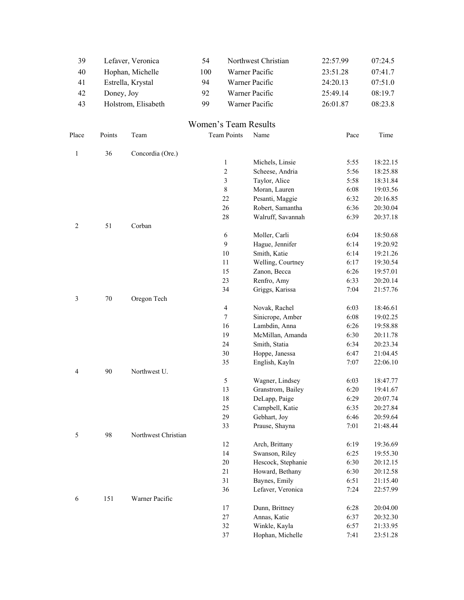| 39             |            | Lefaver, Veronica   | 54                   |                    | Northwest Christian | 22:57.99 | 07:24.5  |
|----------------|------------|---------------------|----------------------|--------------------|---------------------|----------|----------|
| 40             |            | Hophan, Michelle    | 100                  |                    | Warner Pacific      | 23:51.28 | 07:41.7  |
| 41             |            | Estrella, Krystal   | 94                   |                    | Warner Pacific      | 24:20.13 | 07:51.0  |
| 42             | Doney, Joy |                     | 92                   |                    | Warner Pacific      | 25:49.14 | 08:19.7  |
| 43             |            | Holstrom, Elisabeth | 99                   |                    | Warner Pacific      | 26:01.87 | 08:23.8  |
|                |            |                     |                      |                    |                     |          |          |
|                |            |                     | Women's Team Results |                    |                     |          |          |
| Place          | Points     | Team                |                      | <b>Team Points</b> | Name                | Pace     | Time     |
| $\mathbf{1}$   | 36         | Concordia (Ore.)    |                      |                    |                     |          |          |
|                |            |                     |                      | $\mathbf{1}$       | Michels, Linsie     | 5:55     | 18:22.15 |
|                |            |                     |                      | $\sqrt{2}$         | Scheese, Andria     | 5:56     | 18:25.88 |
|                |            |                     |                      | $\mathfrak{Z}$     | Taylor, Alice       | 5:58     | 18:31.84 |
|                |            |                     |                      | $\,8\,$            | Moran, Lauren       | 6:08     | 19:03.56 |
|                |            |                     |                      | 22                 | Pesanti, Maggie     | 6:32     | 20:16.85 |
|                |            |                     |                      | 26                 | Robert, Samantha    | 6:36     | 20:30.04 |
|                |            |                     |                      | $28\,$             | Walruff, Savannah   | 6:39     | 20:37.18 |
| $\overline{c}$ | 51         | Corban              |                      |                    |                     |          |          |
|                |            |                     |                      | $\sqrt{6}$         | Moller, Carli       | 6:04     | 18:50.68 |
|                |            |                     |                      | $\mathbf{9}$       | Hague, Jennifer     | 6:14     | 19:20.92 |
|                |            |                     |                      | $10\,$             | Smith, Katie        | 6:14     | 19:21.26 |
|                |            |                     |                      | $11\,$             | Welling, Courtney   | 6:17     | 19:30.54 |
|                |            |                     |                      | 15                 | Zanon, Becca        | 6:26     | 19:57.01 |
|                |            |                     |                      | 23                 | Renfro, Amy         | 6:33     | 20:20.14 |
|                |            |                     |                      | 34                 | Griggs, Karissa     | 7:04     | 21:57.76 |
| 3              | $70\,$     | Oregon Tech         |                      |                    |                     |          |          |
|                |            |                     |                      | $\overline{4}$     | Novak, Rachel       | 6:03     | 18:46.61 |
|                |            |                     |                      | $\tau$             | Sinicrope, Amber    | 6:08     | 19:02.25 |
|                |            |                     |                      | 16                 | Lambdin, Anna       | 6:26     | 19:58.88 |
|                |            |                     |                      | 19                 | McMillan, Amanda    | 6:30     | 20:11.78 |
|                |            |                     |                      | 24                 | Smith, Statia       | 6:34     | 20:23.34 |
|                |            |                     |                      | 30                 | Hoppe, Janessa      | 6:47     | 21:04.45 |
|                |            |                     |                      | 35                 | English, Kayln      | 7:07     | 22:06.10 |
| 4              | 90         | Northwest U.        |                      |                    |                     |          |          |
|                |            |                     |                      | $\sqrt{5}$         | Wagner, Lindsey     | 6:03     | 18:47.77 |
|                |            |                     |                      | 13                 | Granstrom, Bailey   | 6:20     | 19:41.67 |
|                |            |                     |                      | 18                 | DeLapp, Paige       | 6:29     | 20:07.74 |
|                |            |                     |                      | 25                 | Campbell, Katie     | 6:35     | 20:27.84 |
|                |            |                     |                      | 29                 | Gebhart, Joy        | 6:46     | 20:59.64 |
| 5              | 98         | Northwest Christian |                      | 33                 | Prause, Shayna      | 7:01     | 21:48.44 |
|                |            |                     |                      | 12                 | Arch, Brittany      | 6:19     | 19:36.69 |
|                |            |                     |                      | 14                 | Swanson, Riley      | 6:25     | 19:55.30 |
|                |            |                     |                      | $20\,$             | Hescock, Stephanie  | 6:30     | 20:12.15 |
|                |            |                     |                      | 21                 | Howard, Bethany     | 6:30     | 20:12.58 |
|                |            |                     |                      | 31                 | Baynes, Emily       | 6:51     | 21:15.40 |
|                |            |                     |                      | 36                 | Lefaver, Veronica   | 7:24     | 22:57.99 |
| 6              | 151        | Warner Pacific      |                      |                    |                     |          |          |
|                |            |                     |                      | 17                 | Dunn, Brittney      | 6:28     | 20:04.00 |
|                |            |                     |                      | $27\,$             | Annas, Katie        | 6:37     | 20:32.30 |
|                |            |                     |                      | 32                 | Winkle, Kayla       | 6:57     | 21:33.95 |
|                |            |                     |                      | $37\,$             | Hophan, Michelle    | 7:41     | 23:51.28 |
|                |            |                     |                      |                    |                     |          |          |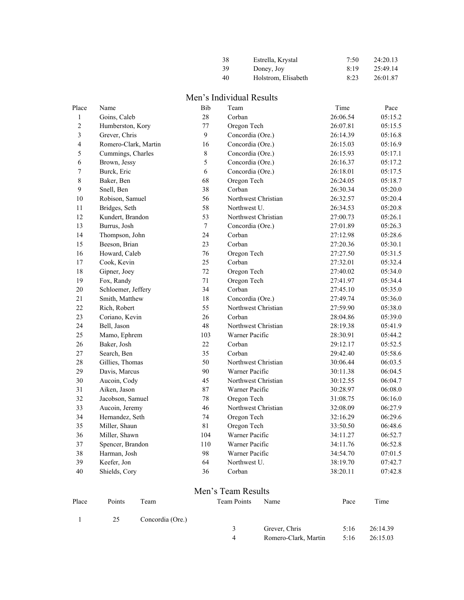| 38 | Estrella, Krystal   | 7:50 | 24:20.13 |
|----|---------------------|------|----------|
| 39 | Doney, Joy          | 8:19 | 25:49.14 |
| 40 | Holstrom, Elisabeth | 8:23 | 26:01.87 |

## Men's Individual Results

| Goins, Caleb<br>Humberston, Kory<br>Grever, Chris<br>Romero-Clark, Martin<br>Cummings, Charles<br>Brown, Jessy<br>Burck, Eric<br>Baker, Ben<br>Snell, Ben<br>Robison, Samuel | 28<br>77<br>9<br>16<br>8<br>5<br>6<br>68                                                                                                                                                                                                                                                                                                                                                                                                                                                | Corban<br>Oregon Tech<br>Concordia (Ore.)<br>Concordia (Ore.)<br>Concordia (Ore.)<br>Concordia (Ore.)<br>Concordia (Ore.) | 26:06.54<br>26:07.81<br>26:14.39<br>26:15.03<br>26:15.93<br>26:16.37 | 05:15.2<br>05:15.5<br>05:16.8<br>05:16.9<br>05:17.1 |
|------------------------------------------------------------------------------------------------------------------------------------------------------------------------------|-----------------------------------------------------------------------------------------------------------------------------------------------------------------------------------------------------------------------------------------------------------------------------------------------------------------------------------------------------------------------------------------------------------------------------------------------------------------------------------------|---------------------------------------------------------------------------------------------------------------------------|----------------------------------------------------------------------|-----------------------------------------------------|
|                                                                                                                                                                              |                                                                                                                                                                                                                                                                                                                                                                                                                                                                                         |                                                                                                                           |                                                                      |                                                     |
|                                                                                                                                                                              |                                                                                                                                                                                                                                                                                                                                                                                                                                                                                         |                                                                                                                           |                                                                      |                                                     |
|                                                                                                                                                                              |                                                                                                                                                                                                                                                                                                                                                                                                                                                                                         |                                                                                                                           |                                                                      |                                                     |
|                                                                                                                                                                              |                                                                                                                                                                                                                                                                                                                                                                                                                                                                                         |                                                                                                                           |                                                                      |                                                     |
|                                                                                                                                                                              |                                                                                                                                                                                                                                                                                                                                                                                                                                                                                         |                                                                                                                           |                                                                      |                                                     |
|                                                                                                                                                                              |                                                                                                                                                                                                                                                                                                                                                                                                                                                                                         |                                                                                                                           |                                                                      | 05:17.2                                             |
|                                                                                                                                                                              |                                                                                                                                                                                                                                                                                                                                                                                                                                                                                         |                                                                                                                           | 26:18.01                                                             | 05:17.5                                             |
|                                                                                                                                                                              |                                                                                                                                                                                                                                                                                                                                                                                                                                                                                         | Oregon Tech                                                                                                               | 26:24.05                                                             | 05:18.7                                             |
|                                                                                                                                                                              | 38                                                                                                                                                                                                                                                                                                                                                                                                                                                                                      | Corban                                                                                                                    | 26:30.34                                                             | 05:20.0                                             |
|                                                                                                                                                                              | 56                                                                                                                                                                                                                                                                                                                                                                                                                                                                                      | Northwest Christian                                                                                                       | 26:32.57                                                             | 05:20.4                                             |
| Bridges, Seth                                                                                                                                                                | 58                                                                                                                                                                                                                                                                                                                                                                                                                                                                                      | Northwest U.                                                                                                              | 26:34.53                                                             | 05:20.8                                             |
| Kundert, Brandon                                                                                                                                                             | 53                                                                                                                                                                                                                                                                                                                                                                                                                                                                                      | Northwest Christian                                                                                                       | 27:00.73                                                             | 05:26.1                                             |
|                                                                                                                                                                              | $\boldsymbol{7}$                                                                                                                                                                                                                                                                                                                                                                                                                                                                        | Concordia (Ore.)                                                                                                          | 27:01.89                                                             | 05:26.3                                             |
|                                                                                                                                                                              | 24                                                                                                                                                                                                                                                                                                                                                                                                                                                                                      | Corban                                                                                                                    | 27:12.98                                                             | 05:28.6                                             |
|                                                                                                                                                                              | 23                                                                                                                                                                                                                                                                                                                                                                                                                                                                                      | Corban                                                                                                                    | 27:20.36                                                             | 05:30.1                                             |
|                                                                                                                                                                              | 76                                                                                                                                                                                                                                                                                                                                                                                                                                                                                      | Oregon Tech                                                                                                               | 27:27.50                                                             | 05:31.5                                             |
|                                                                                                                                                                              | 25                                                                                                                                                                                                                                                                                                                                                                                                                                                                                      | Corban                                                                                                                    | 27:32.01                                                             | 05:32.4                                             |
|                                                                                                                                                                              | 72                                                                                                                                                                                                                                                                                                                                                                                                                                                                                      | Oregon Tech                                                                                                               | 27:40.02                                                             | 05:34.0                                             |
|                                                                                                                                                                              | 71                                                                                                                                                                                                                                                                                                                                                                                                                                                                                      | Oregon Tech                                                                                                               | 27:41.97                                                             | 05:34.4                                             |
|                                                                                                                                                                              | 34                                                                                                                                                                                                                                                                                                                                                                                                                                                                                      | Corban                                                                                                                    | 27:45.10                                                             | 05:35.0                                             |
|                                                                                                                                                                              | 18                                                                                                                                                                                                                                                                                                                                                                                                                                                                                      | Concordia (Ore.)                                                                                                          | 27:49.74                                                             | 05:36.0                                             |
|                                                                                                                                                                              | 55                                                                                                                                                                                                                                                                                                                                                                                                                                                                                      | Northwest Christian                                                                                                       | 27:59.90                                                             | 05:38.0                                             |
|                                                                                                                                                                              | 26                                                                                                                                                                                                                                                                                                                                                                                                                                                                                      | Corban                                                                                                                    | 28:04.86                                                             | 05:39.0                                             |
|                                                                                                                                                                              | 48                                                                                                                                                                                                                                                                                                                                                                                                                                                                                      | Northwest Christian                                                                                                       | 28:19.38                                                             | 05:41.9                                             |
|                                                                                                                                                                              | 103                                                                                                                                                                                                                                                                                                                                                                                                                                                                                     | Warner Pacific                                                                                                            | 28:30.91                                                             | 05:44.2                                             |
|                                                                                                                                                                              | 22                                                                                                                                                                                                                                                                                                                                                                                                                                                                                      | Corban                                                                                                                    | 29:12.17                                                             | 05:52.5                                             |
|                                                                                                                                                                              | 35                                                                                                                                                                                                                                                                                                                                                                                                                                                                                      | Corban                                                                                                                    | 29:42.40                                                             | 05:58.6                                             |
|                                                                                                                                                                              | 50                                                                                                                                                                                                                                                                                                                                                                                                                                                                                      | Northwest Christian                                                                                                       | 30:06.44                                                             | 06:03.5                                             |
|                                                                                                                                                                              | 90                                                                                                                                                                                                                                                                                                                                                                                                                                                                                      | Warner Pacific                                                                                                            | 30:11.38                                                             | 06:04.5                                             |
|                                                                                                                                                                              | 45                                                                                                                                                                                                                                                                                                                                                                                                                                                                                      | Northwest Christian                                                                                                       | 30:12.55                                                             | 06:04.7                                             |
|                                                                                                                                                                              | 87                                                                                                                                                                                                                                                                                                                                                                                                                                                                                      | Warner Pacific                                                                                                            | 30:28.97                                                             | 06:08.0                                             |
|                                                                                                                                                                              | 78                                                                                                                                                                                                                                                                                                                                                                                                                                                                                      | Oregon Tech                                                                                                               | 31:08.75                                                             | 06:16.0                                             |
|                                                                                                                                                                              | 46                                                                                                                                                                                                                                                                                                                                                                                                                                                                                      | Northwest Christian                                                                                                       | 32:08.09                                                             | 06:27.9                                             |
|                                                                                                                                                                              | 74                                                                                                                                                                                                                                                                                                                                                                                                                                                                                      | Oregon Tech                                                                                                               | 32:16.29                                                             | 06:29.6                                             |
|                                                                                                                                                                              | 81                                                                                                                                                                                                                                                                                                                                                                                                                                                                                      | Oregon Tech                                                                                                               | 33:50.50                                                             | 06:48.6                                             |
|                                                                                                                                                                              | 104                                                                                                                                                                                                                                                                                                                                                                                                                                                                                     | Warner Pacific                                                                                                            | 34:11.27                                                             | 06:52.7                                             |
|                                                                                                                                                                              | 110                                                                                                                                                                                                                                                                                                                                                                                                                                                                                     | Warner Pacific                                                                                                            | 34:11.76                                                             | 06:52.8                                             |
|                                                                                                                                                                              | 98                                                                                                                                                                                                                                                                                                                                                                                                                                                                                      | Warner Pacific                                                                                                            | 34:54.70                                                             | 07:01.5                                             |
|                                                                                                                                                                              | 64                                                                                                                                                                                                                                                                                                                                                                                                                                                                                      | Northwest U.                                                                                                              | 38:19.70                                                             | 07:42.7                                             |
|                                                                                                                                                                              | 36                                                                                                                                                                                                                                                                                                                                                                                                                                                                                      | Corban                                                                                                                    | 38:20.11                                                             | 07:42.8                                             |
|                                                                                                                                                                              | Burrus, Josh<br>Thompson, John<br>Beeson, Brian<br>Howard, Caleb<br>Cook, Kevin<br>Gipner, Joey<br>Fox, Randy<br>Schloemer, Jeffery<br>Smith, Matthew<br>Rich, Robert<br>Coriano, Kevin<br>Bell, Jason<br>Mamo, Ephrem<br>Baker, Josh<br>Search, Ben<br>Gillies, Thomas<br>Davis, Marcus<br>Aucoin, Cody<br>Aiken, Jason<br>Jacobson, Samuel<br>Aucoin, Jeremy<br>Hernandez, Seth<br>Miller, Shaun<br>Miller, Shawn<br>Spencer, Brandon<br>Harman, Josh<br>Keefer, Jon<br>Shields, Cory |                                                                                                                           |                                                                      |                                                     |

## Men's Team Results

| Place | Points | Team             | <b>Team Points</b> | Name                 | Pace | Time     |
|-------|--------|------------------|--------------------|----------------------|------|----------|
|       | 25     | Concordia (Ore.) |                    |                      |      |          |
|       |        |                  | 3                  | Grever, Chris        | 5:16 | 26:14.39 |
|       |        |                  | $\overline{4}$     | Romero-Clark, Martin | 5:16 | 26:15.03 |